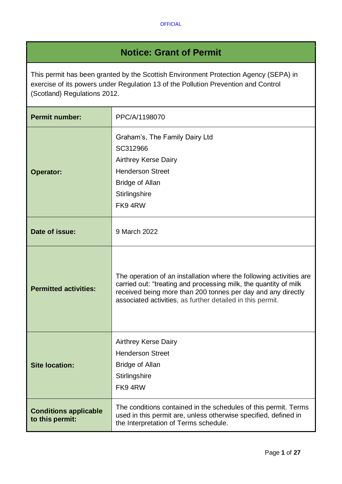# **Notice: Grant of Permit**

This permit has been granted by the Scottish Environment Protection Agency (SEPA) in exercise of its powers under Regulation 13 of the Pollution Prevention and Control (Scotland) Regulations 2012.

| <b>Permit number:</b>                           | PPC/A/1198070                                                                                                                                                                                                                                                         |  |
|-------------------------------------------------|-----------------------------------------------------------------------------------------------------------------------------------------------------------------------------------------------------------------------------------------------------------------------|--|
| <b>Operator:</b>                                | Graham's, The Family Dairy Ltd<br>SC312966<br><b>Airthrey Kerse Dairy</b><br><b>Henderson Street</b><br><b>Bridge of Allan</b><br>Stirlingshire<br>FK94RW                                                                                                             |  |
| Date of issue:                                  | 9 March 2022                                                                                                                                                                                                                                                          |  |
| <b>Permitted activities:</b>                    | The operation of an installation where the following activities are<br>carried out: "treating and processing milk, the quantity of milk<br>received being more than 200 tonnes per day and any directly<br>associated activities, as further detailed in this permit. |  |
| <b>Site location:</b>                           | <b>Airthrey Kerse Dairy</b><br><b>Henderson Street</b><br><b>Bridge of Allan</b><br>Stirlingshire<br>FK94RW                                                                                                                                                           |  |
| <b>Conditions applicable</b><br>to this permit: | The conditions contained in the schedules of this permit. Terms<br>used in this permit are, unless otherwise specified, defined in<br>the Interpretation of Terms schedule.                                                                                           |  |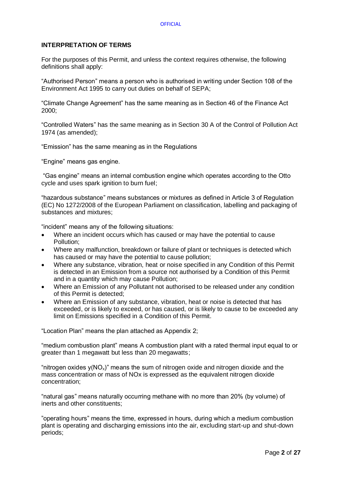#### **OFFICIAL**

## **INTERPRETATION OF TERMS**

For the purposes of this Permit, and unless the context requires otherwise, the following definitions shall apply:

"Authorised Person" means a person who is authorised in writing under Section 108 of the Environment Act 1995 to carry out duties on behalf of SEPA;

"Climate Change Agreement" has the same meaning as in Section 46 of the Finance Act 2000;

"Controlled Waters" has the same meaning as in Section 30 A of the Control of Pollution Act 1974 (as amended);

"Emission" has the same meaning as in the Regulations

"Engine" means gas engine.

"Gas engine" means an internal combustion engine which operates according to the Otto cycle and uses spark ignition to burn fuel:

"hazardous substance" means substances or mixtures as defined in Article 3 of Regulation (EC) No 1272/2008 of the European Parliament on classification, labelling and packaging of substances and mixtures;

"incident" means any of the following situations:

- Where an incident occurs which has caused or may have the potential to cause Pollution;
- Where any malfunction, breakdown or failure of plant or techniques is detected which has caused or may have the potential to cause pollution;
- Where any substance, vibration, heat or noise specified in any Condition of this Permit is detected in an Emission from a source not authorised by a Condition of this Permit and in a quantity which may cause Pollution;
- Where an Emission of any Pollutant not authorised to be released under any condition of this Permit is detected;
- Where an Emission of any substance, vibration, heat or noise is detected that has exceeded, or is likely to exceed, or has caused, or is likely to cause to be exceeded any limit on Emissions specified in a Condition of this Permit.

"Location Plan" means the plan attached as Appendix 2;

"medium combustion plant" means A combustion plant with a rated thermal input equal to or greater than 1 megawatt but less than 20 megawatts;

"nitrogen oxides  $y(NO_x)$ " means the sum of nitrogen oxide and nitrogen dioxide and the mass concentration or mass of NOx is expressed as the equivalent nitrogen dioxide concentration;

"natural gas" means naturally occurring methane with no more than 20% (by volume) of inerts and other constituents;

"operating hours" means the time, expressed in hours, during which a medium combustion plant is operating and discharging emissions into the air, excluding start-up and shut-down periods;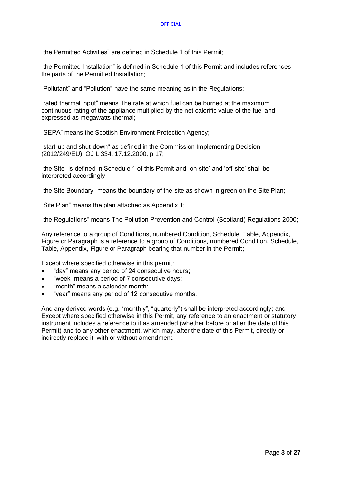"the Permitted Activities" are defined in Schedule 1 of this Permit;

"the Permitted Installation" is defined in Schedule 1 of this Permit and includes references the parts of the Permitted Installation;

"Pollutant" and "Pollution" have the same meaning as in the Regulations;

"rated thermal input" means The rate at which fuel can be burned at the maximum continuous rating of the appliance multiplied by the net calorific value of the fuel and expressed as megawatts thermal;

"SEPA" means the Scottish Environment Protection Agency;

"start-up and shut-down" as defined in the Commission Implementing Decision (2012/249/EU), OJ L 334, 17.12.2000, p.17;

"the Site" is defined in Schedule 1 of this Permit and 'on-site' and 'off-site' shall be interpreted accordingly;

"the Site Boundary" means the boundary of the site as shown in green on the Site Plan;

"Site Plan" means the plan attached as Appendix 1;

"the Regulations" means The Pollution Prevention and Control (Scotland) Regulations 2000;

Any reference to a group of Conditions, numbered Condition, Schedule, Table, Appendix, Figure or Paragraph is a reference to a group of Conditions, numbered Condition, Schedule, Table, Appendix, Figure or Paragraph bearing that number in the Permit;

Except where specified otherwise in this permit:

- "day" means any period of 24 consecutive hours;
- "week" means a period of 7 consecutive days;
- "month" means a calendar month:
- "year" means any period of 12 consecutive months.

And any derived words (e.g. "monthly", "quarterly") shall be interpreted accordingly; and Except where specified otherwise in this Permit, any reference to an enactment or statutory instrument includes a reference to it as amended (whether before or after the date of this Permit) and to any other enactment, which may, after the date of this Permit, directly or indirectly replace it, with or without amendment.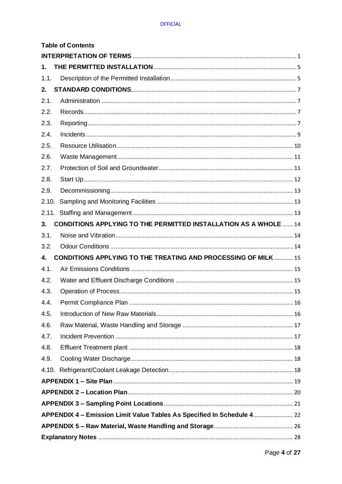## **OFFICIAL**

|       | <b>Table of Contents</b>                                                |  |
|-------|-------------------------------------------------------------------------|--|
|       |                                                                         |  |
| 1.    |                                                                         |  |
| 1.1.  |                                                                         |  |
| 2.    |                                                                         |  |
| 2.1.  |                                                                         |  |
| 2.2.  |                                                                         |  |
| 2.3.  |                                                                         |  |
| 2.4.  |                                                                         |  |
| 2.5.  |                                                                         |  |
| 2.6.  |                                                                         |  |
| 2.7.  |                                                                         |  |
| 2.8.  |                                                                         |  |
| 2.9.  |                                                                         |  |
| 2.10. |                                                                         |  |
|       |                                                                         |  |
| 3.    | <b>CONDITIONS APPLYING TO THE PERMITTED INSTALLATION AS A WHOLE  14</b> |  |
| 3.1.  |                                                                         |  |
| 3.2.  |                                                                         |  |
| 4.    | <b>CONDITIONS APPLYING TO THE TREATING AND PROCESSING OF MILK  15</b>   |  |
| 4.1.  |                                                                         |  |
| 4.2.  |                                                                         |  |
| 4.3.  |                                                                         |  |
| 4.4.  |                                                                         |  |
| 4.5.  |                                                                         |  |
| 4.6.  |                                                                         |  |
| 4.7.  |                                                                         |  |
| 4.8.  |                                                                         |  |
| 4.9.  |                                                                         |  |
| 4.10. |                                                                         |  |
|       |                                                                         |  |
|       |                                                                         |  |
|       |                                                                         |  |
|       | APPENDIX 4 - Emission Limit Value Tables As Specified In Schedule 4 22  |  |
|       |                                                                         |  |
|       |                                                                         |  |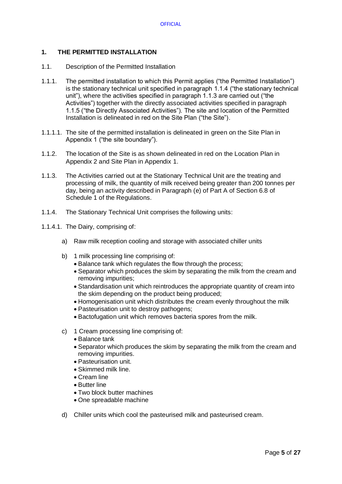# **1. THE PERMITTED INSTALLATION**

- 1.1. Description of the Permitted Installation
- 1.1.1. The permitted installation to which this Permit applies ("the Permitted Installation") is the stationary technical unit specified in paragraph 1.1.4 ("the stationary technical unit"), where the activities specified in paragraph 1.1.3 are carried out ("the Activities") together with the directly associated activities specified in paragraph 1.1.5 ("the Directly Associated Activities"). The site and location of the Permitted Installation is delineated in red on the Site Plan ("the Site").
- 1.1.1.1. The site of the permitted installation is delineated in green on the Site Plan in Appendix 1 ("the site boundary").
- 1.1.2. The location of the Site is as shown delineated in red on the Location Plan in Appendix 2 and Site Plan in Appendix 1.
- 1.1.3. The Activities carried out at the Stationary Technical Unit are the treating and processing of milk, the quantity of milk received being greater than 200 tonnes per day, being an activity described in Paragraph (e) of Part A of Section 6.8 of Schedule 1 of the Regulations.
- 1.1.4. The Stationary Technical Unit comprises the following units:
- 1.1.4.1. The Dairy, comprising of:
	- a) Raw milk reception cooling and storage with associated chiller units
	- b) 1 milk processing line comprising of:
		- Balance tank which regulates the flow through the process;
		- Separator which produces the skim by separating the milk from the cream and removing impurities;
		- Standardisation unit which reintroduces the appropriate quantity of cream into the skim depending on the product being produced;
		- Homogenisation unit which distributes the cream evenly throughout the milk
		- Pasteurisation unit to destroy pathogens;
		- Bactofugation unit which removes bacteria spores from the milk.
	- c) 1 Cream processing line comprising of:
		- Balance tank
		- Separator which produces the skim by separating the milk from the cream and removing impurities.
		- Pasteurisation unit.
		- Skimmed milk line.
		- Cream line
		- Butter line
		- Two block butter machines
		- One spreadable machine
	- d) Chiller units which cool the pasteurised milk and pasteurised cream.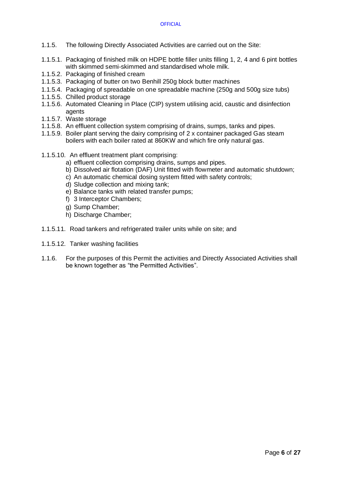- 1.1.5. The following Directly Associated Activities are carried out on the Site:
- 1.1.5.1. Packaging of finished milk on HDPE bottle filler units filling 1, 2, 4 and 6 pint bottles with skimmed semi-skimmed and standardised whole milk.
- 1.1.5.2. Packaging of finished cream
- 1.1.5.3. Packaging of butter on two Benhill 250g block butter machines
- 1.1.5.4. Packaging of spreadable on one spreadable machine (250g and 500g size tubs)
- 1.1.5.5. Chilled product storage
- 1.1.5.6. Automated Cleaning in Place (CIP) system utilising acid, caustic and disinfection agents
- 1.1.5.7. Waste storage
- 1.1.5.8. An effluent collection system comprising of drains, sumps, tanks and pipes.
- 1.1.5.9. Boiler plant serving the dairy comprising of 2 x container packaged Gas steam boilers with each boiler rated at 860KW and which fire only natural gas.
- 1.1.5.10. An effluent treatment plant comprising:
	- a) effluent collection comprising drains, sumps and pipes.
	- b) Dissolved air flotation (DAF) Unit fitted with flowmeter and automatic shutdown;
	- c) An automatic chemical dosing system fitted with safety controls;
	- d) Sludge collection and mixing tank;
	- e) Balance tanks with related transfer pumps;
	- f) 3 Interceptor Chambers;
	- g) Sump Chamber;
	- h) Discharge Chamber;
- 1.1.5.11. Road tankers and refrigerated trailer units while on site; and
- 1.1.5.12. Tanker washing facilities
- 1.1.6. For the purposes of this Permit the activities and Directly Associated Activities shall be known together as "the Permitted Activities".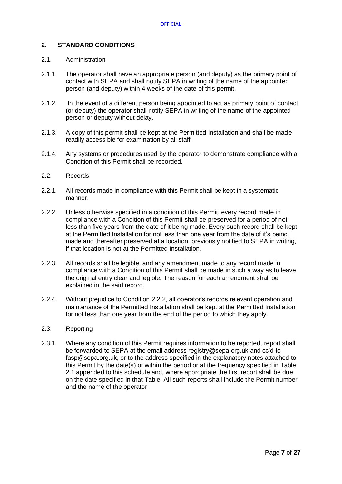# **2. STANDARD CONDITIONS**

## 2.1. Administration

- 2.1.1. The operator shall have an appropriate person (and deputy) as the primary point of contact with SEPA and shall notify SEPA in writing of the name of the appointed person (and deputy) within 4 weeks of the date of this permit.
- 2.1.2. In the event of a different person being appointed to act as primary point of contact (or deputy) the operator shall notify SEPA in writing of the name of the appointed person or deputy without delay.
- 2.1.3. A copy of this permit shall be kept at the Permitted Installation and shall be made readily accessible for examination by all staff.
- 2.1.4. Any systems or procedures used by the operator to demonstrate compliance with a Condition of this Permit shall be recorded.
- 2.2. Records
- 2.2.1. All records made in compliance with this Permit shall be kept in a systematic manner.
- 2.2.2. Unless otherwise specified in a condition of this Permit, every record made in compliance with a Condition of this Permit shall be preserved for a period of not less than five years from the date of it being made. Every such record shall be kept at the Permitted Installation for not less than one year from the date of it's being made and thereafter preserved at a location, previously notified to SEPA in writing, if that location is not at the Permitted Installation.
- 2.2.3. All records shall be legible, and any amendment made to any record made in compliance with a Condition of this Permit shall be made in such a way as to leave the original entry clear and legible. The reason for each amendment shall be explained in the said record.
- 2.2.4. Without prejudice to Condition 2.2.2, all operator's records relevant operation and maintenance of the Permitted Installation shall be kept at the Permitted Installation for not less than one year from the end of the period to which they apply.

## 2.3. Reporting

2.3.1. Where any condition of this Permit requires information to be reported, report shall be forwarded to SEPA at the email address registry@sepa.org.uk and cc'd to fasp@sepa.org.uk, or to the address specified in the explanatory notes attached to this Permit by the date(s) or within the period or at the frequency specified in Table 2.1 appended to this schedule and, where appropriate the first report shall be due on the date specified in that Table. All such reports shall include the Permit number and the name of the operator.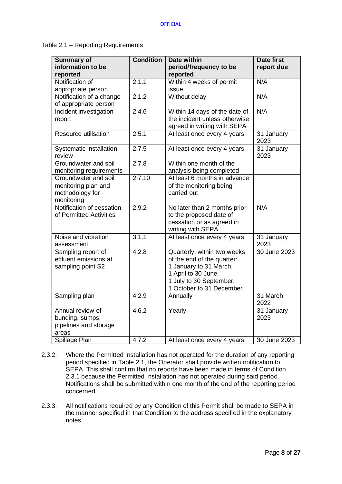# Table 2.1 – Reporting Requirements

| <b>Summary of</b>                 | <b>Condition</b> | <b>Date within</b>                             | <b>Date first</b>    |
|-----------------------------------|------------------|------------------------------------------------|----------------------|
| information to be<br>reported     |                  | period/frequency to be<br>reported             | report due           |
| Notification of                   | 2.1.1            | Within 4 weeks of permit                       | N/A                  |
| appropriate person                |                  | issue                                          |                      |
| Notification of a change          | 2.1.2            | Without delay                                  | N/A                  |
| of appropriate person             |                  |                                                |                      |
| Incident investigation            | 2.4.6            | Within 14 days of the date of                  | N/A                  |
| report                            |                  | the incident unless otherwise                  |                      |
|                                   |                  | agreed in writing with SEPA                    |                      |
| Resource utilisation              | 2.5.1            | At least once every 4 years                    | $31$ January<br>2023 |
| Systematic installation<br>review | 2.7.5            | At least once every 4 years                    | 31 January<br>2023   |
| Groundwater and soil              | 2.7.8            | Within one month of the                        |                      |
| monitoring requirements           |                  | analysis being completed                       |                      |
| Groundwater and soil              | 2.7.10           | At least 6 months in advance                   |                      |
| monitoring plan and               |                  | of the monitoring being                        |                      |
| methodology for                   |                  | carried out                                    |                      |
| monitoring                        |                  |                                                |                      |
| Notification of cessation         | 2.9.2            | No later than 2 months prior                   | N/A                  |
| of Permitted Activities           |                  | to the proposed date of                        |                      |
|                                   |                  | cessation or as agreed in                      |                      |
|                                   |                  | writing with SEPA                              |                      |
| Noise and vibration               | 3.1.1            | At least once every 4 years                    | 31 January           |
| assessment                        |                  |                                                | 2023                 |
| Sampling report of                | 4.2.8            | Quarterly, within two weeks                    | 30 June 2023         |
| effluent emissions at             |                  | of the end of the quarter:                     |                      |
| sampling point S2                 |                  | 1 January to 31 March,                         |                      |
|                                   |                  | 1 April to 30 June,<br>1 July to 30 September, |                      |
|                                   |                  | 1 October to 31 December.                      |                      |
| Sampling plan                     | 4.2.9            | Annually                                       | 31 March             |
|                                   |                  |                                                | 2022                 |
| Annual review of                  | 4.6.2            | Yearly                                         | 31 January           |
| bunding, sumps,                   |                  |                                                | 2023                 |
| pipelines and storage             |                  |                                                |                      |
| areas                             |                  |                                                |                      |
| Spillage Plan                     | 4.7.2            | At least once every 4 years                    | 30 June 2023         |

- 2.3.2. Where the Permitted Installation has not operated for the duration of any reporting period specified in Table 2.1, the Operator shall provide written notification to SEPA. This shall confirm that no reports have been made in terms of Condition 2.3.1 because the Permitted Installation has not operated during said period. Notifications shall be submitted within one month of the end of the reporting period concerned.
- 2.3.3. All notifications required by any Condition of this Permit shall be made to SEPA in the manner specified in that Condition to the address specified in the explanatory notes.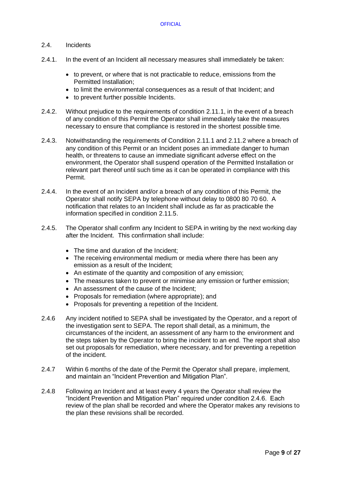## 2.4. Incidents

- 2.4.1. In the event of an Incident all necessary measures shall immediately be taken:
	- to prevent, or where that is not practicable to reduce, emissions from the Permitted Installation;
	- to limit the environmental consequences as a result of that Incident; and
	- to prevent further possible Incidents.
- 2.4.2. Without prejudice to the requirements of condition 2.11.1, in the event of a breach of any condition of this Permit the Operator shall immediately take the measures necessary to ensure that compliance is restored in the shortest possible time.
- 2.4.3. Notwithstanding the requirements of Condition 2.11.1 and 2.11.2 where a breach of any condition of this Permit or an Incident poses an immediate danger to human health, or threatens to cause an immediate significant adverse effect on the environment, the Operator shall suspend operation of the Permitted Installation or relevant part thereof until such time as it can be operated in compliance with this Permit.
- 2.4.4. In the event of an Incident and/or a breach of any condition of this Permit, the Operator shall notify SEPA by telephone without delay to 0800 80 70 60. A notification that relates to an Incident shall include as far as practicable the information specified in condition 2.11.5.
- 2.4.5. The Operator shall confirm any Incident to SEPA in writing by the next working day after the Incident. This confirmation shall include:
	- The time and duration of the Incident:
	- The receiving environmental medium or media where there has been any emission as a result of the Incident;
	- An estimate of the quantity and composition of any emission;
	- The measures taken to prevent or minimise any emission or further emission;
	- An assessment of the cause of the Incident;
	- Proposals for remediation (where appropriate); and
	- Proposals for preventing a repetition of the Incident.
- 2.4.6 Any incident notified to SEPA shall be investigated by the Operator, and a report of the investigation sent to SEPA. The report shall detail, as a minimum, the circumstances of the incident, an assessment of any harm to the environment and the steps taken by the Operator to bring the incident to an end. The report shall also set out proposals for remediation, where necessary, and for preventing a repetition of the incident.
- 2.4.7 Within 6 months of the date of the Permit the Operator shall prepare, implement, and maintain an "Incident Prevention and Mitigation Plan".
- 2.4.8 Following an Incident and at least every 4 years the Operator shall review the "Incident Prevention and Mitigation Plan" required under condition 2.4.6. Each review of the plan shall be recorded and where the Operator makes any revisions to the plan these revisions shall be recorded.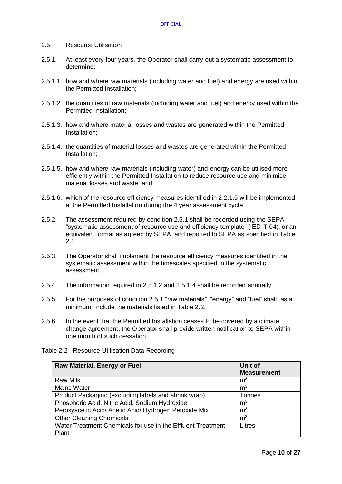## 2.5. Resource Utilisation

- 2.5.1. At least every four years, the Operator shall carry out a systematic assessment to determine:
- 2.5.1.1. how and where raw materials (including water and fuel) and energy are used within the Permitted Installation;
- 2.5.1.2. the quantities of raw materials (including water and fuel) and energy used within the Permitted Installation;
- 2.5.1.3. how and where material losses and wastes are generated within the Permitted Installation;
- 2.5.1.4. the quantities of material losses and wastes are generated within the Permitted Installation;
- 2.5.1.5. how and where raw materials (including water) and energy can be utilised more efficiently within the Permitted Installation to reduce resource use and minimise material losses and waste; and
- 2.5.1.6. which of the resource efficiency measures identified in 2.2.1.5 will be implemented at the Permitted Installation during the 4 year assessment cycle.
- 2.5.2. The assessment required by condition 2.5.1 shall be recorded using the SEPA "systematic assessment of resource use and efficiency template" (IED-T-04), or an equivalent format as agreed by SEPA, and reported to SEPA as specified in Table 2.1.
- 2.5.3. The Operator shall implement the resource efficiency measures identified in the systematic assessment within the timescales specified in the systematic assessment.
- 2.5.4. The information required in 2.5.1.2 and 2.5.1.4 shall be recorded annually.
- 2.5.5. For the purposes of condition 2.5.1 "raw materials", "energy" and "fuel" shall, as a minimum, include the materials listed in Table 2.2.
- 2.5.6. In the event that the Permitted Installation ceases to be covered by a climate change agreement, the Operator shall provide written notification to SEPA within one month of such cessation.

| <b>Raw Material, Energy or Fuel</b>                         | Unit of            |
|-------------------------------------------------------------|--------------------|
|                                                             | <b>Measurement</b> |
| <b>Raw Milk</b>                                             | m <sup>3</sup>     |
| <b>Mains Water</b>                                          | m <sup>3</sup>     |
| Product Packaging (excluding labels and shrink wrap)        | Tonnes             |
| Phosphoric Acid, Nitric Acid, Sodium Hydroxide              | m <sup>3</sup>     |
| Peroxyacetic Acid/ Acetic Acid/ Hydrogen Peroxide Mix       | m <sup>3</sup>     |
| <b>Other Cleaning Chemicals</b>                             | m <sup>3</sup>     |
| Water Treatment Chemicals for use in the Effluent Treatment | Litres             |
| Plant                                                       |                    |

Table 2.2 - Resource Utilisation Data Recording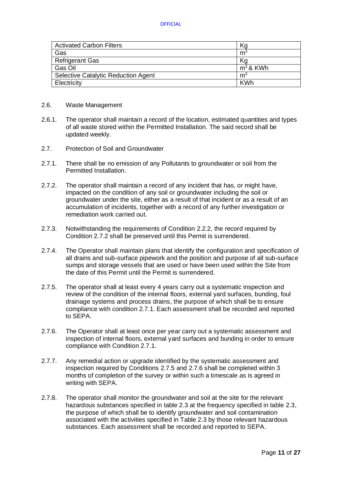| <b>Activated Carbon Filters</b>     | Κg             |
|-------------------------------------|----------------|
| Gas                                 | m <sup>3</sup> |
| <b>Refrigerant Gas</b>              | Κa             |
| Gas Oil                             | $m^3$ & KWh    |
| Selective Catalytic Reduction Agent | m <sup>3</sup> |
| Electricity                         | <b>KWh</b>     |

- 2.6. Waste Management
- 2.6.1. The operator shall maintain a record of the location, estimated quantities and types of all waste stored within the Permitted Installation. The said record shall be updated weekly.
- 2.7. Protection of Soil and Groundwater
- 2.7.1. There shall be no emission of any Pollutants to groundwater or soil from the Permitted Installation.
- 2.7.2. The operator shall maintain a record of any incident that has, or might have, impacted on the condition of any soil or groundwater including the soil or groundwater under the site, either as a result of that incident or as a result of an accumulation of incidents, together with a record of any further investigation or remediation work carried out.
- 2.7.3. Notwithstanding the requirements of Condition 2.2.2, the record required by Condition 2.7.2 shall be preserved until this Permit is surrendered.
- 2.7.4. The Operator shall maintain plans that identify the configuration and specification of all drains and sub-surface pipework and the position and purpose of all sub-surface sumps and storage vessels that are used or have been used within the Site from the date of this Permit until the Permit is surrendered.
- 2.7.5. The operator shall at least every 4 years carry out a systematic inspection and review of the condition of the internal floors, external yard surfaces, bunding, foul drainage systems and process drains, the purpose of which shall be to ensure compliance with condition 2.7.1. Each assessment shall be recorded and reported to SEPA.
- 2.7.6. The Operator shall at least once per year carry out a systematic assessment and inspection of internal floors, external yard surfaces and bunding in order to ensure compliance with Condition 2.7.1.
- 2.7.7. Any remedial action or upgrade identified by the systematic assessment and inspection required by Conditions 2.7.5 and 2.7.6 shall be completed within 3 months of completion of the survey or within such a timescale as is agreed in writing with SEPA.
- 2.7.8. The operator shall monitor the groundwater and soil at the site for the relevant hazardous substances specified in table 2.3 at the frequency specified in table 2.3, the purpose of which shall be to identify groundwater and soil contamination associated with the activities specified in Table 2.3 by those relevant hazardous substances. Each assessment shall be recorded and reported to SEPA.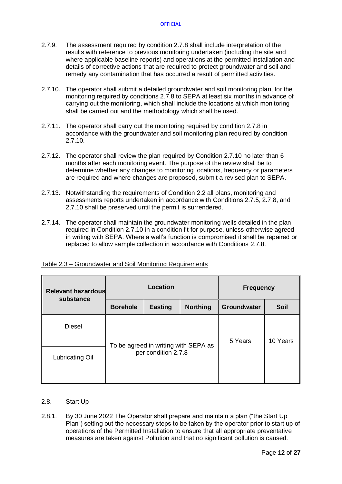- 2.7.9. The assessment required by condition 2.7.8 shall include interpretation of the results with reference to previous monitoring undertaken (including the site and where applicable baseline reports) and operations at the permitted installation and details of corrective actions that are required to protect groundwater and soil and remedy any contamination that has occurred a result of permitted activities.
- 2.7.10. The operator shall submit a detailed groundwater and soil monitoring plan, for the monitoring required by conditions 2.7.8 to SEPA at least six months in advance of carrying out the monitoring, which shall include the locations at which monitoring shall be carried out and the methodology which shall be used.
- 2.7.11. The operator shall carry out the monitoring required by condition 2.7.8 in accordance with the groundwater and soil monitoring plan required by condition 2.7.10.
- 2.7.12. The operator shall review the plan required by Condition 2.7.10 no later than 6 months after each monitoring event. The purpose of the review shall be to determine whether any changes to monitoring locations, frequency or parameters are required and where changes are proposed, submit a revised plan to SEPA.
- 2.7.13. Notwithstanding the requirements of Condition 2.2 all plans, monitoring and assessments reports undertaken in accordance with Conditions 2.7.5, 2.7.8, and 2,7.10 shall be preserved until the permit is surrendered.
- 2.7.14. The operator shall maintain the groundwater monitoring wells detailed in the plan required in Condition 2.7.10 in a condition fit for purpose, unless otherwise agreed in writing with SEPA. Where a well's function is compromised it shall be repaired or replaced to allow sample collection in accordance with Conditions 2.7.8.

| <b>Relevant hazardous</b><br>substance | Location                                             |                                                             |                    | <b>Frequency</b> |          |
|----------------------------------------|------------------------------------------------------|-------------------------------------------------------------|--------------------|------------------|----------|
|                                        | <b>Borehole</b><br><b>Northing</b><br><b>Easting</b> |                                                             | <b>Groundwater</b> | <b>Soil</b>      |          |
| Diesel                                 |                                                      | To be agreed in writing with SEPA as<br>per condition 2.7.8 |                    |                  | 10 Years |
| Lubricating Oil                        |                                                      |                                                             |                    |                  |          |

## Table 2.3 – Groundwater and Soil Monitoring Requirements

- 2.8. Start Up
- 2.8.1. By 30 June 2022 The Operator shall prepare and maintain a plan ("the Start Up Plan") setting out the necessary steps to be taken by the operator prior to start up of operations of the Permitted Installation to ensure that all appropriate preventative measures are taken against Pollution and that no significant pollution is caused.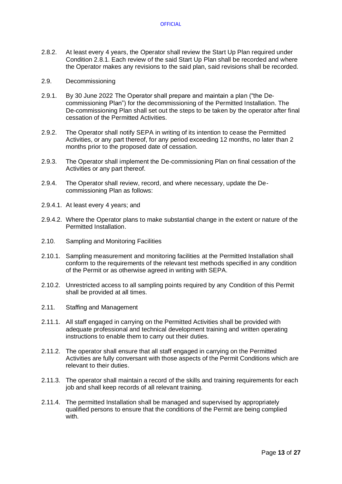- 2.8.2. At least every 4 years, the Operator shall review the Start Up Plan required under Condition 2.8.1. Each review of the said Start Up Plan shall be recorded and where the Operator makes any revisions to the said plan, said revisions shall be recorded.
- 2.9. Decommissioning
- 2.9.1. By 30 June 2022 The Operator shall prepare and maintain a plan ("the Decommissioning Plan") for the decommissioning of the Permitted Installation. The De-commissioning Plan shall set out the steps to be taken by the operator after final cessation of the Permitted Activities.
- 2.9.2. The Operator shall notify SEPA in writing of its intention to cease the Permitted Activities, or any part thereof, for any period exceeding 12 months, no later than 2 months prior to the proposed date of cessation.
- 2.9.3. The Operator shall implement the De-commissioning Plan on final cessation of the Activities or any part thereof.
- 2.9.4. The Operator shall review, record, and where necessary, update the Decommissioning Plan as follows:
- 2.9.4.1. At least every 4 years; and
- 2.9.4.2. Where the Operator plans to make substantial change in the extent or nature of the Permitted Installation.
- 2.10. Sampling and Monitoring Facilities
- 2.10.1. Sampling measurement and monitoring facilities at the Permitted Installation shall conform to the requirements of the relevant test methods specified in any condition of the Permit or as otherwise agreed in writing with SEPA.
- 2.10.2. Unrestricted access to all sampling points required by any Condition of this Permit shall be provided at all times.
- 2.11. Staffing and Management
- 2.11.1. All staff engaged in carrying on the Permitted Activities shall be provided with adequate professional and technical development training and written operating instructions to enable them to carry out their duties.
- 2.11.2. The operator shall ensure that all staff engaged in carrying on the Permitted Activities are fully conversant with those aspects of the Permit Conditions which are relevant to their duties.
- 2.11.3. The operator shall maintain a record of the skills and training requirements for each job and shall keep records of all relevant training.
- 2.11.4. The permitted Installation shall be managed and supervised by appropriately qualified persons to ensure that the conditions of the Permit are being complied with.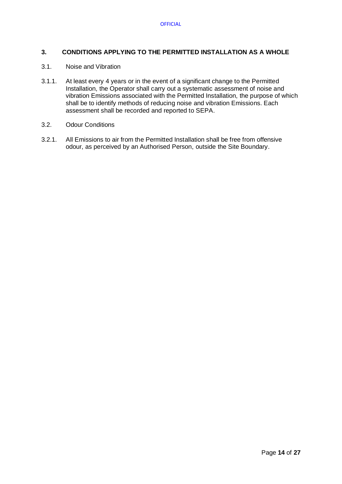## **3. CONDITIONS APPLYING TO THE PERMITTED INSTALLATION AS A WHOLE**

## 3.1. Noise and Vibration

- 3.1.1. At least every 4 years or in the event of a significant change to the Permitted Installation, the Operator shall carry out a systematic assessment of noise and vibration Emissions associated with the Permitted Installation, the purpose of which shall be to identify methods of reducing noise and vibration Emissions. Each assessment shall be recorded and reported to SEPA.
- 3.2. Odour Conditions
- 3.2.1. All Emissions to air from the Permitted Installation shall be free from offensive odour, as perceived by an Authorised Person, outside the Site Boundary.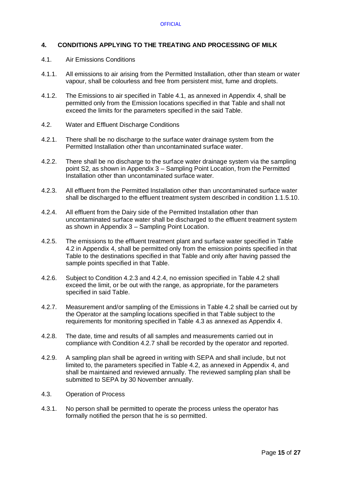# **4. CONDITIONS APPLYING TO THE TREATING AND PROCESSING OF MILK**

### 4.1. Air Emissions Conditions

- 4.1.1. All emissions to air arising from the Permitted Installation, other than steam or water vapour, shall be colourless and free from persistent mist, fume and droplets.
- 4.1.2. The Emissions to air specified in Table 4.1, as annexed in Appendix 4, shall be permitted only from the Emission locations specified in that Table and shall not exceed the limits for the parameters specified in the said Table.
- 4.2. Water and Effluent Discharge Conditions
- 4.2.1. There shall be no discharge to the surface water drainage system from the Permitted Installation other than uncontaminated surface water.
- 4.2.2. There shall be no discharge to the surface water drainage system via the sampling point S2, as shown in Appendix 3 – Sampling Point Location, from the Permitted Installation other than uncontaminated surface water.
- 4.2.3. All effluent from the Permitted Installation other than uncontaminated surface water shall be discharged to the effluent treatment system described in condition 1.1.5.10.
- 4.2.4. All effluent from the Dairy side of the Permitted Installation other than uncontaminated surface water shall be discharged to the effluent treatment system as shown in Appendix 3 – Sampling Point Location.
- 4.2.5. The emissions to the effluent treatment plant and surface water specified in Table 4.2 in Appendix 4, shall be permitted only from the emission points specified in that Table to the destinations specified in that Table and only after having passed the sample points specified in that Table.
- 4.2.6. Subject to Condition 4.2.3 and 4.2.4, no emission specified in Table 4.2 shall exceed the limit, or be out with the range, as appropriate, for the parameters specified in said Table.
- 4.2.7. Measurement and/or sampling of the Emissions in Table 4.2 shall be carried out by the Operator at the sampling locations specified in that Table subject to the requirements for monitoring specified in Table 4.3 as annexed as Appendix 4.
- 4.2.8. The date, time and results of all samples and measurements carried out in compliance with Condition 4.2.7 shall be recorded by the operator and reported.
- 4.2.9. A sampling plan shall be agreed in writing with SEPA and shall include, but not limited to, the parameters specified in Table 4.2, as annexed in Appendix 4, and shall be maintained and reviewed annually. The reviewed sampling plan shall be submitted to SEPA by 30 November annually.
- 4.3. Operation of Process
- 4.3.1. No person shall be permitted to operate the process unless the operator has formally notified the person that he is so permitted.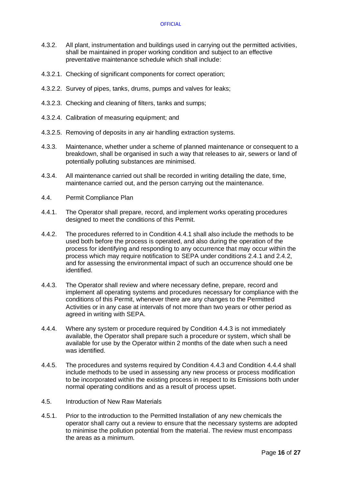- 4.3.2. All plant, instrumentation and buildings used in carrying out the permitted activities, shall be maintained in proper working condition and subject to an effective preventative maintenance schedule which shall include:
- 4.3.2.1. Checking of significant components for correct operation;
- 4.3.2.2. Survey of pipes, tanks, drums, pumps and valves for leaks;
- 4.3.2.3. Checking and cleaning of filters, tanks and sumps;
- 4.3.2.4. Calibration of measuring equipment; and
- 4.3.2.5. Removing of deposits in any air handling extraction systems.
- 4.3.3. Maintenance, whether under a scheme of planned maintenance or consequent to a breakdown, shall be organised in such a way that releases to air, sewers or land of potentially polluting substances are minimised.
- 4.3.4. All maintenance carried out shall be recorded in writing detailing the date, time, maintenance carried out, and the person carrying out the maintenance.
- 4.4. Permit Compliance Plan
- 4.4.1. The Operator shall prepare, record, and implement works operating procedures designed to meet the conditions of this Permit.
- 4.4.2. The procedures referred to in Condition 4.4.1 shall also include the methods to be used both before the process is operated, and also during the operation of the process for identifying and responding to any occurrence that may occur within the process which may require notification to SEPA under conditions 2.4.1 and 2.4.2, and for assessing the environmental impact of such an occurrence should one be identified.
- 4.4.3. The Operator shall review and where necessary define, prepare, record and implement all operating systems and procedures necessary for compliance with the conditions of this Permit, whenever there are any changes to the Permitted Activities or in any case at intervals of not more than two years or other period as agreed in writing with SEPA.
- 4.4.4. Where any system or procedure required by Condition 4.4.3 is not immediately available, the Operator shall prepare such a procedure or system, which shall be available for use by the Operator within 2 months of the date when such a need was identified.
- 4.4.5. The procedures and systems required by Condition 4.4.3 and Condition 4.4.4 shall include methods to be used in assessing any new process or process modification to be incorporated within the existing process in respect to its Emissions both under normal operating conditions and as a result of process upset.
- 4.5. Introduction of New Raw Materials
- 4.5.1. Prior to the introduction to the Permitted Installation of any new chemicals the operator shall carry out a review to ensure that the necessary systems are adopted to minimise the pollution potential from the material. The review must encompass the areas as a minimum.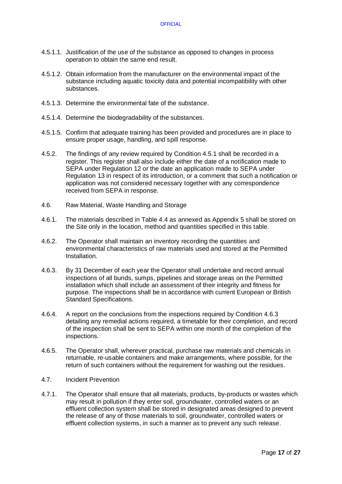- 4.5.1.1. Justification of the use of the substance as opposed to changes in process operation to obtain the same end result.
- 4.5.1.2. Obtain information from the manufacturer on the environmental impact of the substance including aquatic toxicity data and potential incompatibility with other substances.
- 4.5.1.3. Determine the environmental fate of the substance.
- 4.5.1.4. Determine the biodegradability of the substances.
- 4.5.1.5. Confirm that adequate training has been provided and procedures are in place to ensure proper usage, handling, and spill response.
- 4.5.2. The findings of any review required by Condition 4.5.1 shall be recorded in a register. This register shall also include either the date of a notification made to SEPA under Regulation 12 or the date an application made to SEPA under Regulation 13 in respect of its introduction, or a comment that such a notification or application was not considered necessary together with any correspondence received from SEPA in response.
- 4.6. Raw Material, Waste Handling and Storage
- 4.6.1. The materials described in Table 4.4 as annexed as Appendix 5 shall be stored on the Site only in the location, method and quantities specified in this table.
- 4.6.2. The Operator shall maintain an inventory recording the quantities and environmental characteristics of raw materials used and stored at the Permitted **Installation**
- 4.6.3. By 31 December of each year the Operator shall undertake and record annual inspections of all bunds, sumps, pipelines and storage areas on the Permitted installation which shall include an assessment of their integrity and fitness for purpose. The inspections shall be in accordance with current European or British Standard Specifications.
- 4.6.4. A report on the conclusions from the inspections required by Condition 4.6.3 detailing any remedial actions required, a timetable for their completion, and record of the inspection shall be sent to SEPA within one month of the completion of the inspections.
- 4.6.5. The Operator shall, wherever practical, purchase raw materials and chemicals in returnable, re-usable containers and make arrangements, where possible, for the return of such containers without the requirement for washing out the residues.
- 4.7. Incident Prevention
- 4.7.1. The Operator shall ensure that all materials, products, by-products or wastes which may result in pollution if they enter soil, groundwater, controlled waters or an effluent collection system shall be stored in designated areas designed to prevent the release of any of those materials to soil, groundwater, controlled waters or effluent collection systems, in such a manner as to prevent any such release.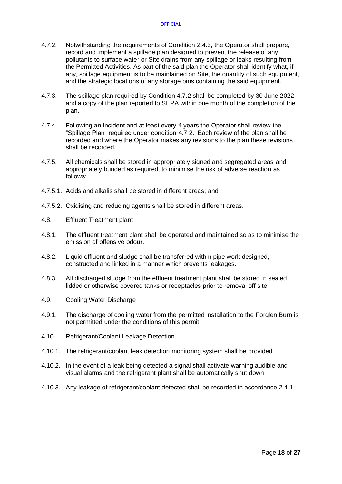- 4.7.2. Notwithstanding the requirements of Condition 2.4.5, the Operator shall prepare, record and implement a spillage plan designed to prevent the release of any pollutants to surface water or Site drains from any spillage or leaks resulting from the Permitted Activities. As part of the said plan the Operator shall identify what, if any, spillage equipment is to be maintained on Site, the quantity of such equipment, and the strategic locations of any storage bins containing the said equipment.
- 4.7.3. The spillage plan required by Condition 4.7.2 shall be completed by 30 June 2022 and a copy of the plan reported to SEPA within one month of the completion of the plan.
- 4.7.4. Following an Incident and at least every 4 years the Operator shall review the "Spillage Plan" required under condition 4.7.2. Each review of the plan shall be recorded and where the Operator makes any revisions to the plan these revisions shall be recorded.
- 4.7.5. All chemicals shall be stored in appropriately signed and segregated areas and appropriately bunded as required, to minimise the risk of adverse reaction as follows:
- 4.7.5.1. Acids and alkalis shall be stored in different areas; and
- 4.7.5.2. Oxidising and reducing agents shall be stored in different areas.
- 4.8. Effluent Treatment plant
- 4.8.1. The effluent treatment plant shall be operated and maintained so as to minimise the emission of offensive odour.
- 4.8.2. Liquid effluent and sludge shall be transferred within pipe work designed, constructed and linked in a manner which prevents leakages.
- 4.8.3. All discharged sludge from the effluent treatment plant shall be stored in sealed, lidded or otherwise covered tanks or receptacles prior to removal off site.
- 4.9. Cooling Water Discharge
- 4.9.1. The discharge of cooling water from the permitted installation to the Forglen Burn is not permitted under the conditions of this permit.
- 4.10. Refrigerant/Coolant Leakage Detection
- 4.10.1. The refrigerant/coolant leak detection monitoring system shall be provided.
- 4.10.2. In the event of a leak being detected a signal shall activate warning audible and visual alarms and the refrigerant plant shall be automatically shut down.
- 4.10.3. Any leakage of refrigerant/coolant detected shall be recorded in accordance 2.4.1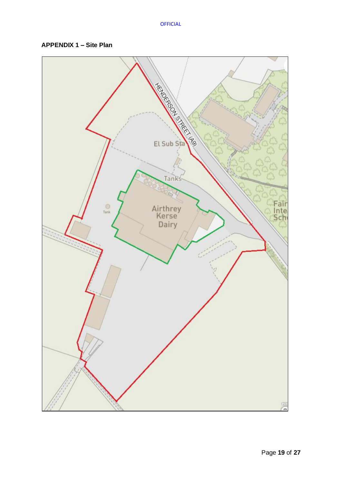# **APPENDIX 1 – Site Plan**

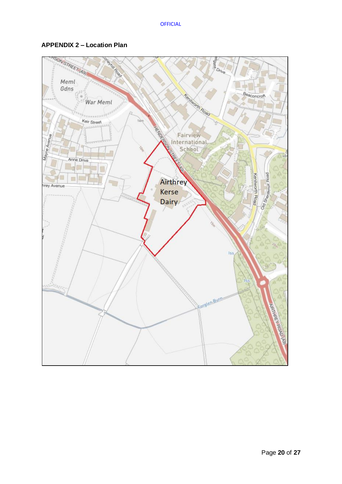

# **APPENDIX 2 – Location Plan**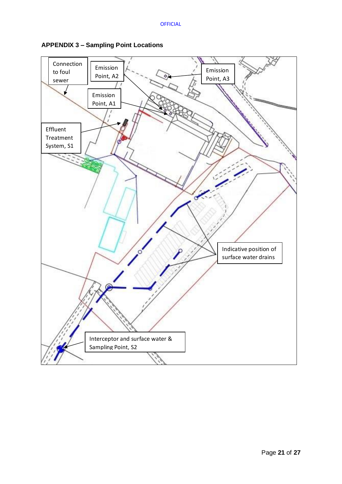

**APPENDIX 3 – Sampling Point Locations**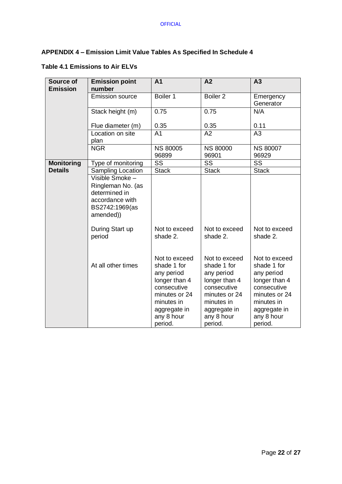# **APPENDIX 4 – Emission Limit Value Tables As Specified In Schedule 4**

# **Table 4.1 Emissions to Air ELVs**

| Source of<br><b>Emission</b> | <b>Emission point</b><br>number                                                                         | A <sub>1</sub>                                                                                                                                     | A2                                                                                                                                                 | A3                                                                                                                                                 |
|------------------------------|---------------------------------------------------------------------------------------------------------|----------------------------------------------------------------------------------------------------------------------------------------------------|----------------------------------------------------------------------------------------------------------------------------------------------------|----------------------------------------------------------------------------------------------------------------------------------------------------|
|                              | <b>Emission source</b>                                                                                  | Boiler 1                                                                                                                                           | Boiler <sub>2</sub>                                                                                                                                | Emergency<br>Generator                                                                                                                             |
|                              | Stack height (m)                                                                                        | 0.75                                                                                                                                               | 0.75                                                                                                                                               | N/A                                                                                                                                                |
|                              | Flue diameter (m)                                                                                       | 0.35                                                                                                                                               | 0.35                                                                                                                                               | 0.11                                                                                                                                               |
|                              | Location on site<br>plan                                                                                | A <sub>1</sub>                                                                                                                                     | A2                                                                                                                                                 | A3                                                                                                                                                 |
|                              | <b>NGR</b>                                                                                              | <b>NS 80005</b><br>96899                                                                                                                           | <b>NS 80000</b><br>96901                                                                                                                           | <b>NS 80007</b><br>96929                                                                                                                           |
| <b>Monitoring</b>            | Type of monitoring                                                                                      | $\overline{\text{SS}}$                                                                                                                             | $\overline{\text{SS}}$                                                                                                                             | <b>SS</b>                                                                                                                                          |
| <b>Details</b>               | <b>Sampling Location</b>                                                                                | <b>Stack</b>                                                                                                                                       | <b>Stack</b>                                                                                                                                       | <b>Stack</b>                                                                                                                                       |
|                              | Visible Smoke -<br>Ringleman No. (as<br>determined in<br>accordance with<br>BS2742:1969(as<br>amended)) |                                                                                                                                                    |                                                                                                                                                    |                                                                                                                                                    |
|                              | During Start up<br>period                                                                               | Not to exceed<br>shade 2.                                                                                                                          | Not to exceed<br>shade 2.                                                                                                                          | Not to exceed<br>shade 2.                                                                                                                          |
|                              | At all other times                                                                                      | Not to exceed<br>shade 1 for<br>any period<br>longer than 4<br>consecutive<br>minutes or 24<br>minutes in<br>aggregate in<br>any 8 hour<br>period. | Not to exceed<br>shade 1 for<br>any period<br>longer than 4<br>consecutive<br>minutes or 24<br>minutes in<br>aggregate in<br>any 8 hour<br>period. | Not to exceed<br>shade 1 for<br>any period<br>longer than 4<br>consecutive<br>minutes or 24<br>minutes in<br>aggregate in<br>any 8 hour<br>period. |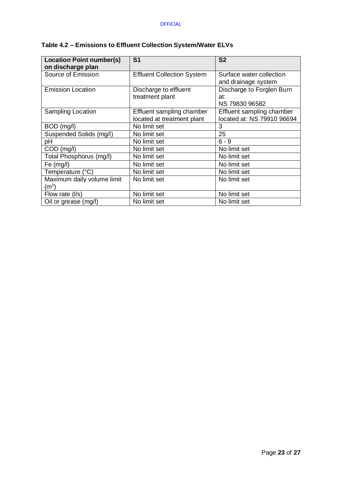| <b>Location Point number(s)</b><br>on discharge plan | S <sub>1</sub>                    | S <sub>2</sub>             |
|------------------------------------------------------|-----------------------------------|----------------------------|
| Source of Emission                                   | <b>Effluent Collection System</b> | Surface water collection   |
|                                                      |                                   | and drainage system        |
| <b>Emission Location</b>                             | Discharge to effluent             | Discharge to Forglen Burn  |
|                                                      | treatment plant                   | at:                        |
|                                                      |                                   | NS 79830 96582             |
| <b>Sampling Location</b>                             | Effluent sampling chamber         | Effluent sampling chamber  |
|                                                      | located at treatment plant        | located at: NS 79910 96694 |
| BOD (mg/l)                                           | No limit set                      | 3                          |
| Suspended Solids (mg/l)                              | No limit set                      | 25                         |
| pH                                                   | No limit set                      | $6 - 9$                    |
| COD (mg/l)                                           | No limit set                      | No limit set               |
| Total Phosphorus (mg/l)                              | No limit set                      | No limit set               |
| Fe (mg/l)                                            | No limit set                      | No limit set               |
| Temperature (°C)                                     | No limit set                      | No limit set               |
| Maximum daily volume limit                           | No limit set                      | No limit set               |
| $\mathsf{(m^3)}$                                     |                                   |                            |
| Flow rate $(1/s)$                                    | No limit set                      | No limit set               |
| Oil or grease (mg/l)                                 | No limit set                      | No limit set               |

# **Table 4.2 – Emissions to Effluent Collection System/Water ELVs**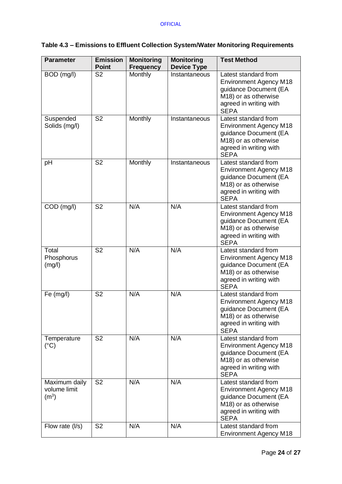# **Table 4.3 – Emissions to Effluent Collection System/Water Monitoring Requirements**

| <b>Parameter</b>                                   | <b>Emission</b><br><b>Point</b> | <b>Monitoring</b><br><b>Frequency</b> | <b>Monitoring</b><br><b>Device Type</b> | <b>Test Method</b>                                                                                                                              |
|----------------------------------------------------|---------------------------------|---------------------------------------|-----------------------------------------|-------------------------------------------------------------------------------------------------------------------------------------------------|
| BOD (mg/l)                                         | $\overline{\mathsf{S2}}$        | Monthly                               | Instantaneous                           | Latest standard from<br><b>Environment Agency M18</b><br>guidance Document (EA<br>M18) or as otherwise<br>agreed in writing with<br><b>SEPA</b> |
| Suspended<br>Solids (mg/l)                         | $\overline{\mathsf{S2}}$        | Monthly                               | Instantaneous                           | Latest standard from<br><b>Environment Agency M18</b><br>guidance Document (EA<br>M18) or as otherwise<br>agreed in writing with<br><b>SEPA</b> |
| pH                                                 | S <sub>2</sub>                  | Monthly                               | Instantaneous                           | Latest standard from<br><b>Environment Agency M18</b><br>guidance Document (EA<br>M18) or as otherwise<br>agreed in writing with<br><b>SEPA</b> |
| COD (mg/l)                                         | S <sub>2</sub>                  | N/A                                   | N/A                                     | Latest standard from<br><b>Environment Agency M18</b><br>guidance Document (EA<br>M18) or as otherwise<br>agreed in writing with<br><b>SEPA</b> |
| Total<br>Phosphorus<br>(mg/l)                      | S <sub>2</sub>                  | N/A                                   | N/A                                     | Latest standard from<br><b>Environment Agency M18</b><br>guidance Document (EA<br>M18) or as otherwise<br>agreed in writing with<br><b>SEPA</b> |
| Fe $(mg/l)$                                        | S <sub>2</sub>                  | N/A                                   | N/A                                     | Latest standard from<br><b>Environment Agency M18</b><br>guidance Document (EA<br>M18) or as otherwise<br>agreed in writing with<br><b>SEPA</b> |
| Temperature<br>$(^{\circ}C)$                       | S <sub>2</sub>                  | N/A                                   | N/A                                     | Latest standard from<br><b>Environment Agency M18</b><br>guidance Document (EA<br>M18) or as otherwise<br>agreed in writing with<br><b>SEPA</b> |
| Maximum daily<br>volume limit<br>(m <sup>3</sup> ) | S <sub>2</sub>                  | N/A                                   | N/A                                     | Latest standard from<br><b>Environment Agency M18</b><br>guidance Document (EA<br>M18) or as otherwise<br>agreed in writing with<br><b>SEPA</b> |
| Flow rate (I/s)                                    | S <sub>2</sub>                  | N/A                                   | N/A                                     | Latest standard from<br><b>Environment Agency M18</b>                                                                                           |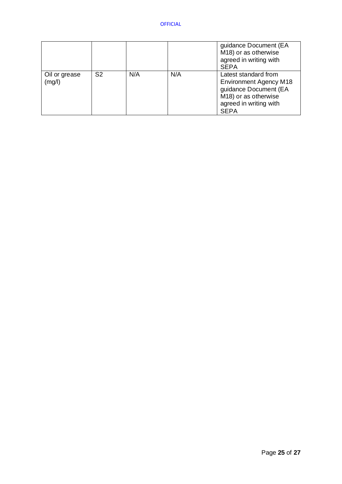|                         |                |     |     | guidance Document (EA<br>M18) or as otherwise<br>agreed in writing with<br><b>SEPA</b>                                                          |
|-------------------------|----------------|-----|-----|-------------------------------------------------------------------------------------------------------------------------------------------------|
| Oil or grease<br>(mg/l) | S <sub>2</sub> | N/A | N/A | Latest standard from<br><b>Environment Agency M18</b><br>guidance Document (EA<br>M18) or as otherwise<br>agreed in writing with<br><b>SEPA</b> |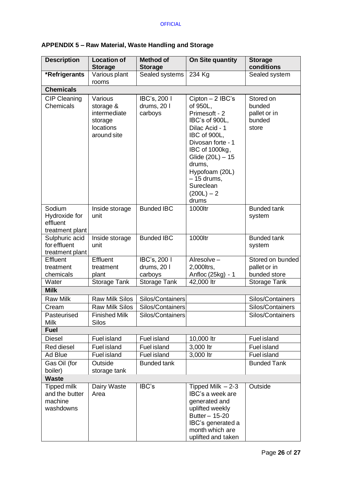| APPENDIX 5 - Raw Material, Waste Handling and Storage |  |  |  |
|-------------------------------------------------------|--|--|--|
|-------------------------------------------------------|--|--|--|

| <b>Description</b>                                           | <b>Location of</b><br><b>Storage</b>                                        | <b>Method of</b><br><b>Storage</b>     | On Site quantity                                                                                                                                                                                                                                 | <b>Storage</b><br>conditions                           |
|--------------------------------------------------------------|-----------------------------------------------------------------------------|----------------------------------------|--------------------------------------------------------------------------------------------------------------------------------------------------------------------------------------------------------------------------------------------------|--------------------------------------------------------|
| *Refrigerants                                                | Various plant<br>rooms                                                      | Sealed systems                         | 234 Kg                                                                                                                                                                                                                                           | Sealed system                                          |
| <b>Chemicals</b>                                             |                                                                             |                                        |                                                                                                                                                                                                                                                  |                                                        |
| <b>CIP Cleaning</b><br>Chemicals                             | Various<br>storage &<br>intermediate<br>storage<br>locations<br>around site | IBC's, 200 I<br>drums, 20 l<br>carboys | $Cipton - 2$ IBC's<br>of 950L,<br>Primesoft - 2<br>IBC's of 900L,<br>Dilac Acid - 1<br>IBC of 900L,<br>Divosan forte - 1<br>IBC of 1000kg,<br>Glide (20L) - 15<br>drums,<br>Hypofoam (20L)<br>$-15$ drums,<br>Sureclean<br>$(200L) - 2$<br>drums | Stored on<br>bunded<br>pallet or in<br>bunded<br>store |
| Sodium<br>Hydroxide for<br>effluent<br>treatment plant       | Inside storage<br>unit                                                      | <b>Bunded IBC</b>                      | 1000ltr                                                                                                                                                                                                                                          | <b>Bunded tank</b><br>system                           |
| Sulphuric acid<br>for effluent<br>treatment plant            | Inside storage<br>unit                                                      | <b>Bunded IBC</b>                      | 1000ltr                                                                                                                                                                                                                                          | <b>Bunded tank</b><br>system                           |
| Effluent                                                     | Effluent                                                                    | IBC's, 200                             | Alresolve-                                                                                                                                                                                                                                       | Stored on bunded                                       |
| treatment                                                    | treatment                                                                   | drums, 20 l                            | 2,000ltrs,                                                                                                                                                                                                                                       | pallet or in                                           |
| chemicals                                                    | plant                                                                       | carboys                                | Anfloc (25kg) - 1                                                                                                                                                                                                                                | bunded store                                           |
| Water                                                        | Storage Tank                                                                | Storage Tank                           | 42,000 ltr                                                                                                                                                                                                                                       | Storage Tank                                           |
| <b>Milk</b>                                                  |                                                                             |                                        |                                                                                                                                                                                                                                                  |                                                        |
| <b>Raw Milk</b>                                              | <b>Raw Milk Silos</b>                                                       | Silos/Containers                       |                                                                                                                                                                                                                                                  | Silos/Containers                                       |
| Cream                                                        | <b>Raw Milk Silos</b>                                                       | Silos/Containers                       |                                                                                                                                                                                                                                                  | Silos/Containers                                       |
| Pasteurised<br><b>Milk</b>                                   | <b>Finished Milk</b><br><b>Silos</b>                                        | Silos/Containers                       |                                                                                                                                                                                                                                                  | Silos/Containers                                       |
| <b>Fuel</b>                                                  |                                                                             |                                        |                                                                                                                                                                                                                                                  |                                                        |
| <b>Diesel</b>                                                | <b>Fuel island</b>                                                          | <b>Fuel island</b>                     | 10,000 ltr                                                                                                                                                                                                                                       | Fuel island                                            |
| Red diesel                                                   | Fuel island                                                                 | <b>Fuel island</b>                     | 3,000 ltr                                                                                                                                                                                                                                        | Fuel island                                            |
| Ad Blue                                                      | Fuel island                                                                 | Fuel island                            | 3,000 ltr                                                                                                                                                                                                                                        | Fuel island                                            |
| Gas Oil (for                                                 | Outside                                                                     | <b>Bunded tank</b>                     |                                                                                                                                                                                                                                                  | <b>Bunded Tank</b>                                     |
| boiler)                                                      | storage tank                                                                |                                        |                                                                                                                                                                                                                                                  |                                                        |
| <b>Waste</b>                                                 |                                                                             |                                        |                                                                                                                                                                                                                                                  |                                                        |
| <b>Tipped milk</b><br>and the butter<br>machine<br>washdowns | Dairy Waste<br>Area                                                         | IBC's                                  | Tipped Milk $-2-3$<br>IBC's a week are<br>generated and<br>uplifted weekly<br>Butter - 15-20<br>IBC's generated a<br>month which are<br>uplifted and taken                                                                                       | Outside                                                |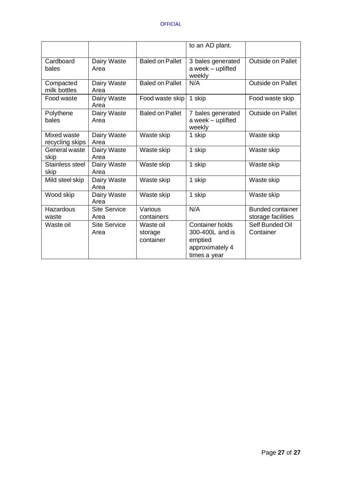|                                |                             |                                   | to an AD plant.                                                                         |                                               |
|--------------------------------|-----------------------------|-----------------------------------|-----------------------------------------------------------------------------------------|-----------------------------------------------|
| Cardboard<br>bales             | Dairy Waste<br>Area         | <b>Baled on Pallet</b>            | 3 bales generated<br>a week - uplifted<br>weekly                                        | <b>Outside on Pallet</b>                      |
| Compacted<br>milk bottles      | Dairy Waste<br>Area         | <b>Baled on Pallet</b>            | N/A                                                                                     | <b>Outside on Pallet</b>                      |
| Food waste                     | Dairy Waste<br>Area         | Food waste skip                   | 1 skip                                                                                  | Food waste skip                               |
| Polythene<br>bales             | Dairy Waste<br>Area         | <b>Baled on Pallet</b>            | 7 bales generated<br>a week - uplifted<br>weekly                                        | <b>Outside on Pallet</b>                      |
| Mixed waste<br>recycling skips | Dairy Waste<br>Area         | Waste skip                        | 1 skip                                                                                  | Waste skip                                    |
| General waste<br>skip          | Dairy Waste<br>Area         | Waste skip                        | 1 skip                                                                                  | Waste skip                                    |
| Stainless steel<br>skip        | Dairy Waste<br>Area         | Waste skip                        | 1 skip                                                                                  | Waste skip                                    |
| Mild steel skip                | Dairy Waste<br>Area         | Waste skip                        | 1 skip                                                                                  | Waste skip                                    |
| Wood skip                      | Dairy Waste<br>Area         | Waste skip                        | 1 skip                                                                                  | Waste skip                                    |
| Hazardous<br>waste             | <b>Site Service</b><br>Area | Various<br>containers             | N/A                                                                                     | <b>Bunded container</b><br>storage facilities |
| Waste oil                      | <b>Site Service</b><br>Area | Waste oil<br>storage<br>container | <b>Container holds</b><br>300-400L and is<br>emptied<br>approximately 4<br>times a year | Self Bunded Oil<br>Container                  |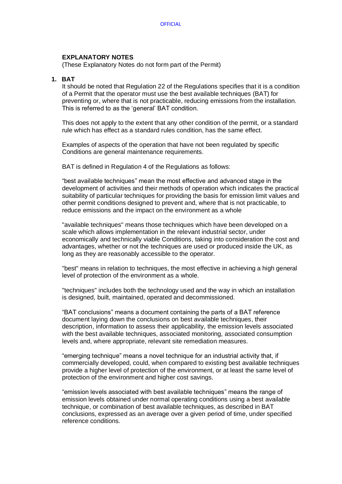### **EXPLANATORY NOTES**

(These Explanatory Notes do not form part of the Permit)

## **1. BAT**

It should be noted that Regulation 22 of the Regulations specifies that it is a condition of a Permit that the operator must use the best available techniques (BAT) for preventing or, where that is not practicable, reducing emissions from the installation. This is referred to as the 'general' BAT condition.

This does not apply to the extent that any other condition of the permit, or a standard rule which has effect as a standard rules condition, has the same effect.

Examples of aspects of the operation that have not been regulated by specific Conditions are general maintenance requirements.

BAT is defined in Regulation 4 of the Regulations as follows:

"best available techniques" mean the most effective and advanced stage in the development of activities and their methods of operation which indicates the practical suitability of particular techniques for providing the basis for emission limit values and other permit conditions designed to prevent and, where that is not practicable, to reduce emissions and the impact on the environment as a whole

"available techniques" means those techniques which have been developed on a scale which allows implementation in the relevant industrial sector, under economically and technically viable Conditions, taking into consideration the cost and advantages, whether or not the techniques are used or produced inside the UK, as long as they are reasonably accessible to the operator.

"best" means in relation to techniques, the most effective in achieving a high general level of protection of the environment as a whole.

"techniques" includes both the technology used and the way in which an installation is designed, built, maintained, operated and decommissioned.

"BAT conclusions" means a document containing the parts of a BAT reference document laying down the conclusions on best available techniques, their description, information to assess their applicability, the emission levels associated with the best available techniques, associated monitoring, associated consumption levels and, where appropriate, relevant site remediation measures.

"emerging technique" means a novel technique for an industrial activity that, if commercially developed, could, when compared to existing best available techniques provide a higher level of protection of the environment, or at least the same level of protection of the environment and higher cost savings.

"emission levels associated with best available techniques" means the range of emission levels obtained under normal operating conditions using a best available technique, or combination of best available techniques, as described in BAT conclusions, expressed as an average over a given period of time, under specified reference conditions.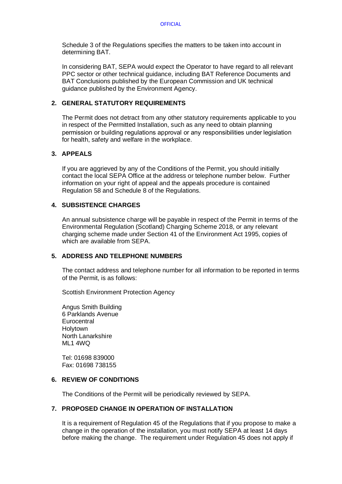Schedule 3 of the Regulations specifies the matters to be taken into account in determining BAT.

In considering BAT, SEPA would expect the Operator to have regard to all relevant PPC sector or other technical guidance, including BAT Reference Documents and BAT Conclusions published by the European Commission and UK technical guidance published by the Environment Agency.

## **2. GENERAL STATUTORY REQUIREMENTS**

The Permit does not detract from any other statutory requirements applicable to you in respect of the Permitted Installation, such as any need to obtain planning permission or building regulations approval or any responsibilities under legislation for health, safety and welfare in the workplace.

## **3. APPEALS**

If you are aggrieved by any of the Conditions of the Permit, you should initially contact the local SEPA Office at the address or telephone number below. Further information on your right of appeal and the appeals procedure is contained Regulation 58 and Schedule 8 of the Regulations.

## **4. SUBSISTENCE CHARGES**

An annual subsistence charge will be payable in respect of the Permit in terms of the Environmental Regulation (Scotland) Charging Scheme 2018, or any relevant charging scheme made under Section 41 of the Environment Act 1995, copies of which are available from SEPA.

# **5. ADDRESS AND TELEPHONE NUMBERS**

The contact address and telephone number for all information to be reported in terms of the Permit, is as follows:

Scottish Environment Protection Agency

Angus Smith Building 6 Parklands Avenue **Eurocentral Holytown** North Lanarkshire ML1 4WQ

Tel: 01698 839000 Fax: 01698 738155

## **6. REVIEW OF CONDITIONS**

The Conditions of the Permit will be periodically reviewed by SEPA.

# **7. PROPOSED CHANGE IN OPERATION OF INSTALLATION**

It is a requirement of Regulation 45 of the Regulations that if you propose to make a change in the operation of the installation, you must notify SEPA at least 14 days before making the change. The requirement under Regulation 45 does not apply if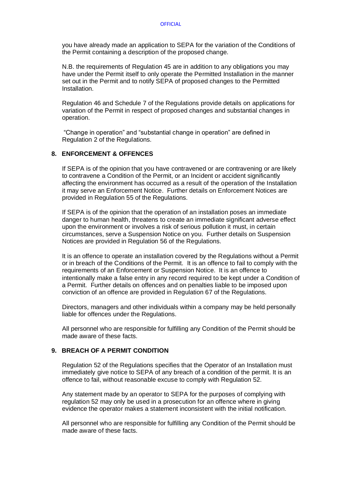you have already made an application to SEPA for the variation of the Conditions of the Permit containing a description of the proposed change.

N.B. the requirements of Regulation 45 are in addition to any obligations you may have under the Permit itself to only operate the Permitted Installation in the manner set out in the Permit and to notify SEPA of proposed changes to the Permitted Installation.

Regulation 46 and Schedule 7 of the Regulations provide details on applications for variation of the Permit in respect of proposed changes and substantial changes in operation.

"Change in operation" and "substantial change in operation" are defined in Regulation 2 of the Regulations.

### **8. ENFORCEMENT & OFFENCES**

If SEPA is of the opinion that you have contravened or are contravening or are likely to contravene a Condition of the Permit, or an Incident or accident significantly affecting the environment has occurred as a result of the operation of the Installation it may serve an Enforcement Notice. Further details on Enforcement Notices are provided in Regulation 55 of the Regulations.

If SEPA is of the opinion that the operation of an installation poses an immediate danger to human health, threatens to create an immediate significant adverse effect upon the environment or involves a risk of serious pollution it must, in certain circumstances, serve a Suspension Notice on you. Further details on Suspension Notices are provided in Regulation 56 of the Regulations.

It is an offence to operate an installation covered by the Regulations without a Permit or in breach of the Conditions of the Permit. It is an offence to fail to comply with the requirements of an Enforcement or Suspension Notice. It is an offence to intentionally make a false entry in any record required to be kept under a Condition of a Permit. Further details on offences and on penalties liable to be imposed upon conviction of an offence are provided in Regulation 67 of the Regulations.

Directors, managers and other individuals within a company may be held personally liable for offences under the Regulations.

All personnel who are responsible for fulfilling any Condition of the Permit should be made aware of these facts.

## **9. BREACH OF A PERMIT CONDITION**

Regulation 52 of the Regulations specifies that the Operator of an Installation must immediately give notice to SEPA of any breach of a condition of the permit. It is an offence to fail, without reasonable excuse to comply with Regulation 52.

Any statement made by an operator to SEPA for the purposes of complying with regulation 52 may only be used in a prosecution for an offence where in giving evidence the operator makes a statement inconsistent with the initial notification.

All personnel who are responsible for fulfilling any Condition of the Permit should be made aware of these facts.